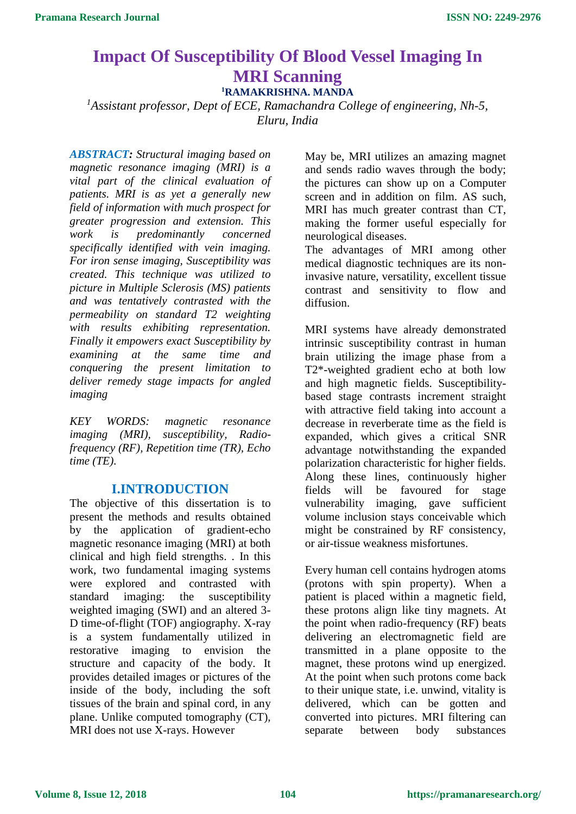# **Impact Of Susceptibility Of Blood Vessel Imaging In MRI Scanning**

**<sup>1</sup>RAMAKRISHNA. MANDA**

*<sup>1</sup>Assistant professor, Dept of ECE, Ramachandra College of engineering, Nh-5, Eluru, India*

*ABSTRACT: Structural imaging based on magnetic resonance imaging (MRI) is a vital part of the clinical evaluation of patients. MRI is as yet a generally new field of information with much prospect for greater progression and extension. This work is predominantly concerned specifically identified with vein imaging. For iron sense imaging, Susceptibility was created. This technique was utilized to picture in Multiple Sclerosis (MS) patients and was tentatively contrasted with the permeability on standard T2 weighting with results exhibiting representation. Finally it empowers exact Susceptibility by examining at the same time and conquering the present limitation to deliver remedy stage impacts for angled imaging*

*KEY WORDS: magnetic resonance imaging (MRI), susceptibility, Radiofrequency (RF), Repetition time (TR), Echo time (TE).*

### **I.INTRODUCTION**

The objective of this dissertation is to present the methods and results obtained by the application of gradient-echo magnetic resonance imaging (MRI) at both clinical and high field strengths. . In this work, two fundamental imaging systems were explored and contrasted with standard imaging: the susceptibility weighted imaging (SWI) and an altered 3- D time-of-flight (TOF) angiography. X-ray is a system fundamentally utilized in restorative imaging to envision the structure and capacity of the body. It provides detailed images or pictures of the inside of the body, including the soft tissues of the brain and spinal cord, in any plane. Unlike computed tomography (CT), MRI does not use X-rays. However

May be, MRI utilizes an amazing magnet and sends radio waves through the body; the pictures can show up on a Computer screen and in addition on film. AS such, MRI has much greater contrast than CT, making the former useful especially for neurological diseases.

The advantages of MRI among other medical diagnostic techniques are its noninvasive nature, versatility, excellent tissue contrast and sensitivity to flow and diffusion.

MRI systems have already demonstrated intrinsic susceptibility contrast in human brain utilizing the image phase from a T2\*-weighted gradient echo at both low and high magnetic fields. Susceptibilitybased stage contrasts increment straight with attractive field taking into account a decrease in reverberate time as the field is expanded, which gives a critical SNR advantage notwithstanding the expanded polarization characteristic for higher fields. Along these lines, continuously higher fields will be favoured for stage vulnerability imaging, gave sufficient volume inclusion stays conceivable which might be constrained by RF consistency, or air-tissue weakness misfortunes.

Every human cell contains hydrogen atoms (protons with spin property). When a patient is placed within a magnetic field, these protons align like tiny magnets. At the point when radio-frequency (RF) beats delivering an electromagnetic field are transmitted in a plane opposite to the magnet, these protons wind up energized. At the point when such protons come back to their unique state, i.e. unwind, vitality is delivered, which can be gotten and converted into pictures. MRI filtering can separate between body substances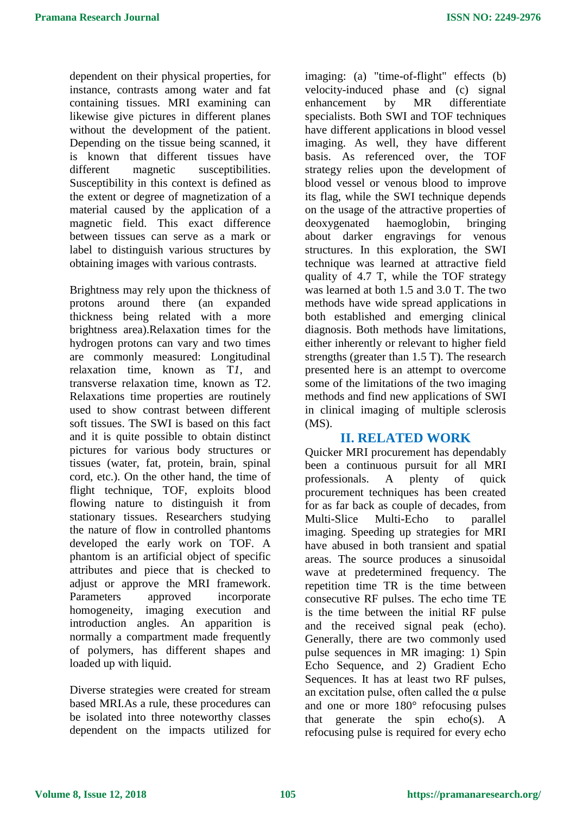dependent on their physical properties, for instance, contrasts among water and fat containing tissues. MRI examining can likewise give pictures in different planes without the development of the patient. Depending on the tissue being scanned, it is known that different tissues have different magnetic susceptibilities. Susceptibility in this context is defined as the extent or degree of magnetization of a material caused by the application of a magnetic field. This exact difference between tissues can serve as a mark or label to distinguish various structures by obtaining images with various contrasts.

Brightness may rely upon the thickness of protons around there (an expanded thickness being related with a more brightness area).Relaxation times for the hydrogen protons can vary and two times are commonly measured: Longitudinal relaxation time, known as T*1*, and transverse relaxation time, known as T*2*. Relaxations time properties are routinely used to show contrast between different soft tissues. The SWI is based on this fact and it is quite possible to obtain distinct pictures for various body structures or tissues (water, fat, protein, brain, spinal cord, etc.). On the other hand, the time of flight technique, TOF, exploits blood flowing nature to distinguish it from stationary tissues. Researchers studying the nature of flow in controlled phantoms developed the early work on TOF. A phantom is an artificial object of specific attributes and piece that is checked to adjust or approve the MRI framework. Parameters approved incorporate homogeneity, imaging execution and introduction angles. An apparition is normally a compartment made frequently of polymers, has different shapes and loaded up with liquid.

Diverse strategies were created for stream based MRI.As a rule, these procedures can be isolated into three noteworthy classes dependent on the impacts utilized for imaging: (a) "time-of-flight" effects (b) velocity-induced phase and (c) signal enhancement by MR differentiate specialists. Both SWI and TOF techniques have different applications in blood vessel imaging. As well, they have different basis. As referenced over, the TOF strategy relies upon the development of blood vessel or venous blood to improve its flag, while the SWI technique depends on the usage of the attractive properties of deoxygenated haemoglobin, bringing about darker engravings for venous structures. In this exploration, the SWI technique was learned at attractive field quality of 4.7 T, while the TOF strategy was learned at both 1.5 and 3.0 T. The two methods have wide spread applications in both established and emerging clinical diagnosis. Both methods have limitations, either inherently or relevant to higher field strengths (greater than 1.5 T). The research presented here is an attempt to overcome some of the limitations of the two imaging methods and find new applications of SWI in clinical imaging of multiple sclerosis (MS).

## **II. RELATED WORK**

Quicker MRI procurement has dependably been a continuous pursuit for all MRI professionals. A plenty of quick procurement techniques has been created for as far back as couple of decades, from Multi-Slice Multi-Echo to parallel imaging. Speeding up strategies for MRI have abused in both transient and spatial areas. The source produces a sinusoidal wave at predetermined frequency. The repetition time TR is the time between consecutive RF pulses. The echo time TE is the time between the initial RF pulse and the received signal peak (echo). Generally, there are two commonly used pulse sequences in MR imaging: 1) Spin Echo Sequence, and 2) Gradient Echo Sequences. It has at least two RF pulses, an excitation pulse, often called the  $\alpha$  pulse and one or more 180° refocusing pulses that generate the spin echo(s).  $\overline{A}$ refocusing pulse is required for every echo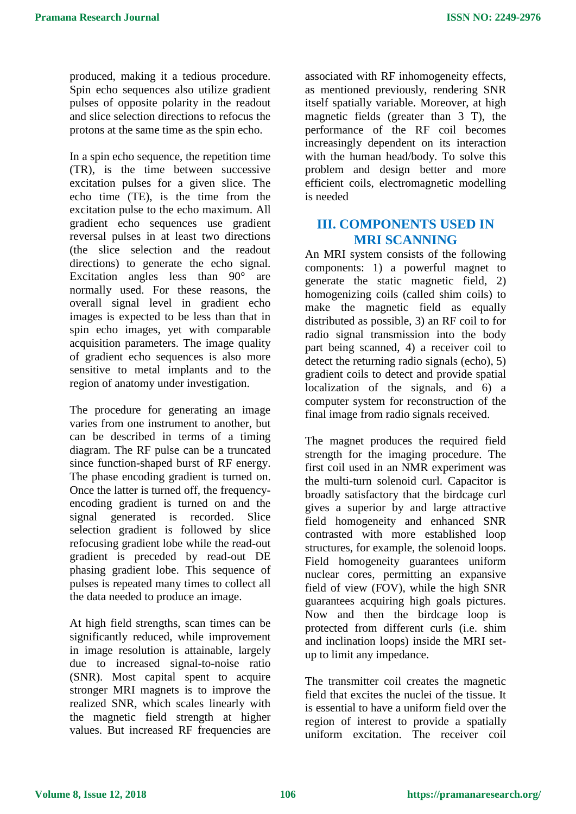produced, making it a tedious procedure. Spin echo sequences also utilize gradient pulses of opposite polarity in the readout and slice selection directions to refocus the protons at the same time as the spin echo.

In a spin echo sequence, the repetition time (TR), is the time between successive excitation pulses for a given slice. The echo time (TE), is the time from the excitation pulse to the echo maximum. All gradient echo sequences use gradient reversal pulses in at least two directions (the slice selection and the readout directions) to generate the echo signal. Excitation angles less than 90° are normally used. For these reasons, the overall signal level in gradient echo images is expected to be less than that in spin echo images, yet with comparable acquisition parameters. The image quality of gradient echo sequences is also more sensitive to metal implants and to the region of anatomy under investigation.

The procedure for generating an image varies from one instrument to another, but can be described in terms of a timing diagram. The RF pulse can be a truncated since function-shaped burst of RF energy. The phase encoding gradient is turned on. Once the latter is turned off, the frequencyencoding gradient is turned on and the signal generated is recorded. Slice selection gradient is followed by slice refocusing gradient lobe while the read-out gradient is preceded by read-out DE phasing gradient lobe. This sequence of pulses is repeated many times to collect all the data needed to produce an image.

At high field strengths, scan times can be significantly reduced, while improvement in image resolution is attainable, largely due to increased signal-to-noise ratio (SNR). Most capital spent to acquire stronger MRI magnets is to improve the realized SNR, which scales linearly with the magnetic field strength at higher values. But increased RF frequencies are

associated with RF inhomogeneity effects, as mentioned previously, rendering SNR itself spatially variable. Moreover, at high magnetic fields (greater than 3 T), the performance of the RF coil becomes increasingly dependent on its interaction with the human head/body. To solve this problem and design better and more efficient coils, electromagnetic modelling is needed

## **III. COMPONENTS USED IN MRI SCANNING**

An MRI system consists of the following components: 1) a powerful magnet to generate the static magnetic field, 2) homogenizing coils (called shim coils) to make the magnetic field as equally distributed as possible, 3) an RF coil to for radio signal transmission into the body part being scanned, 4) a receiver coil to detect the returning radio signals (echo), 5) gradient coils to detect and provide spatial localization of the signals, and 6) a computer system for reconstruction of the final image from radio signals received.

The magnet produces the required field strength for the imaging procedure. The first coil used in an NMR experiment was the multi-turn solenoid curl. Capacitor is broadly satisfactory that the birdcage curl gives a superior by and large attractive field homogeneity and enhanced SNR contrasted with more established loop structures, for example, the solenoid loops. Field homogeneity guarantees uniform nuclear cores, permitting an expansive field of view (FOV), while the high SNR guarantees acquiring high goals pictures. Now and then the birdcage loop is protected from different curls (i.e. shim and inclination loops) inside the MRI setup to limit any impedance.

The transmitter coil creates the magnetic field that excites the nuclei of the tissue. It is essential to have a uniform field over the region of interest to provide a spatially uniform excitation. The receiver coil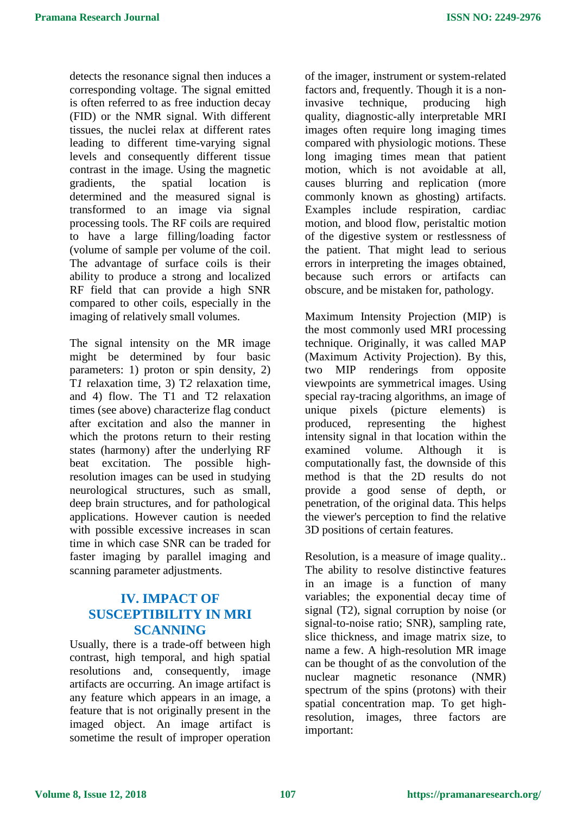detects the resonance signal then induces a corresponding voltage. The signal emitted is often referred to as free induction decay (FID) or the NMR signal. With different tissues, the nuclei relax at different rates leading to different time-varying signal levels and consequently different tissue contrast in the image. Using the magnetic gradients, the spatial location is determined and the measured signal is transformed to an image via signal processing tools. The RF coils are required to have a large filling/loading factor (volume of sample per volume of the coil. The advantage of surface coils is their ability to produce a strong and localized RF field that can provide a high SNR compared to other coils, especially in the imaging of relatively small volumes.

The signal intensity on the MR image might be determined by four basic parameters: 1) proton or spin density, 2) T*1* relaxation time, 3) T*2* relaxation time, and 4) flow. The T1 and T2 relaxation times (see above) characterize flag conduct after excitation and also the manner in which the protons return to their resting states (harmony) after the underlying RF beat excitation. The possible highresolution images can be used in studying neurological structures, such as small, deep brain structures, and for pathological applications. However caution is needed with possible excessive increases in scan time in which case SNR can be traded for faster imaging by parallel imaging and scanning parameter adjustments.

## **IV. IMPACT OF SUSCEPTIBILITY IN MRI SCANNING**

Usually, there is a trade-off between high contrast, high temporal, and high spatial resolutions and, consequently, image artifacts are occurring. An image artifact is any feature which appears in an image, a feature that is not originally present in the imaged object. An image artifact is sometime the result of improper operation of the imager, instrument or system-related factors and, frequently. Though it is a noninvasive technique, producing high quality, diagnostic-ally interpretable MRI images often require long imaging times compared with physiologic motions. These long imaging times mean that patient motion, which is not avoidable at all, causes blurring and replication (more commonly known as ghosting) artifacts. Examples include respiration, cardiac motion, and blood flow, peristaltic motion of the digestive system or restlessness of the patient. That might lead to serious errors in interpreting the images obtained, because such errors or artifacts can obscure, and be mistaken for, pathology.

Maximum Intensity Projection (MIP) is the most commonly used MRI processing technique. Originally, it was called MAP (Maximum Activity Projection). By this, two MIP renderings from opposite viewpoints are symmetrical images. Using special ray-tracing algorithms, an image of unique pixels (picture elements) is produced, representing the highest intensity signal in that location within the examined volume. Although it is computationally fast, the downside of this method is that the 2D results do not provide a good sense of depth, or penetration, of the original data. This helps the viewer's perception to find the relative 3D positions of certain features.

Resolution, is a measure of image quality.. The ability to resolve distinctive features in an image is a function of many variables; the exponential decay time of signal (T2), signal corruption by noise (or signal-to-noise ratio; SNR), sampling rate, slice thickness, and image matrix size, to name a few. A high-resolution MR image can be thought of as the convolution of the nuclear magnetic resonance (NMR) spectrum of the spins (protons) with their spatial concentration map. To get highresolution, images, three factors are important: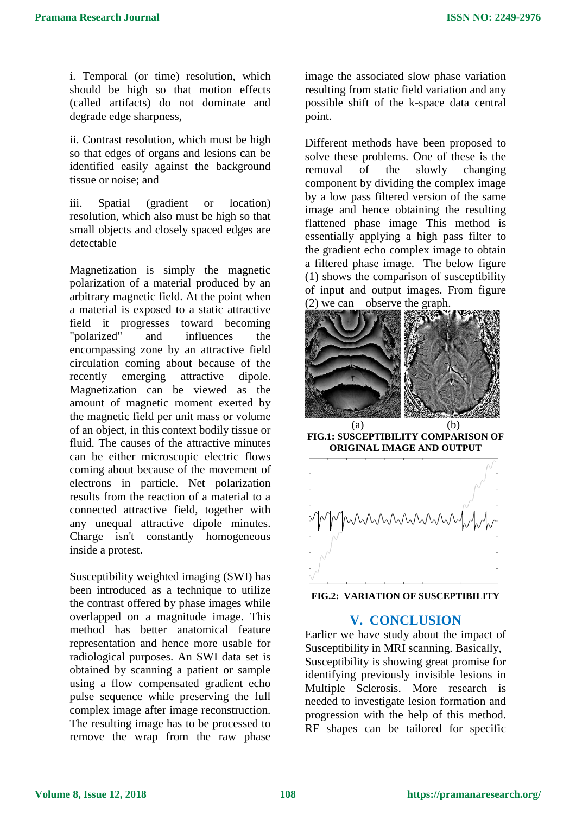i. Temporal (or time) resolution, which should be high so that motion effects (called artifacts) do not dominate and degrade edge sharpness,

ii. Contrast resolution, which must be high so that edges of organs and lesions can be identified easily against the background tissue or noise; and

iii. Spatial (gradient or location) resolution, which also must be high so that small objects and closely spaced edges are detectable

Magnetization is simply the magnetic polarization of a material produced by an arbitrary magnetic field. At the point when a material is exposed to a static attractive field it progresses toward becoming "polarized" and influences the encompassing zone by an attractive field circulation coming about because of the recently emerging attractive dipole. Magnetization can be viewed as the amount of magnetic moment exerted by the magnetic field per unit mass or volume of an object, in this context bodily tissue or fluid. The causes of the attractive minutes can be either microscopic electric flows coming about because of the movement of electrons in particle. Net polarization results from the reaction of a material to a connected attractive field, together with any unequal attractive dipole minutes. Charge isn't constantly homogeneous inside a protest.

Susceptibility weighted imaging (SWI) has been introduced as a technique to utilize the contrast offered by phase images while overlapped on a magnitude image. This method has better anatomical feature representation and hence more usable for radiological purposes. An SWI data set is obtained by scanning a patient or sample using a flow compensated gradient echo pulse sequence while preserving the full complex image after image reconstruction. The resulting image has to be processed to remove the wrap from the raw phase

image the associated slow phase variation resulting from static field variation and any possible shift of the k-space data central point.

Different methods have been proposed to solve these problems. One of these is the removal of the slowly changing component by dividing the complex image by a low pass filtered version of the same image and hence obtaining the resulting flattened phase image This method is essentially applying a high pass filter to the gradient echo complex image to obtain a filtered phase image. The below figure (1) shows the comparison of susceptibility of input and output images. From figure (2) we can observe the graph.



 $(a)$  (b) **FIG.1: SUSCEPTIBILITY COMPARISON OF ORIGINAL IMAGE AND OUTPUT**



**FIG.2: VARIATION OF SUSCEPTIBILITY** 

### **V. CONCLUSION**

Earlier we have study about the impact of Susceptibility in MRI scanning. Basically, Susceptibility is showing great promise for identifying previously invisible lesions in Multiple Sclerosis. More research is needed to investigate lesion formation and progression with the help of this method. RF shapes can be tailored for specific